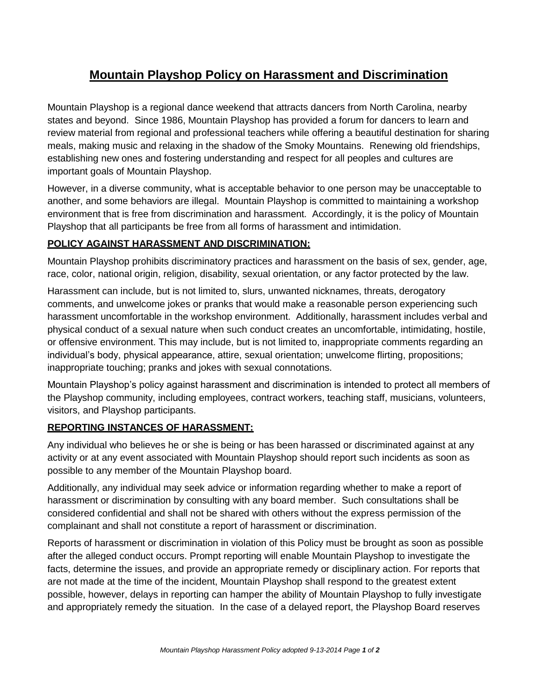# **Mountain Playshop Policy on Harassment and Discrimination**

Mountain Playshop is a regional dance weekend that attracts dancers from North Carolina, nearby states and beyond. Since 1986, Mountain Playshop has provided a forum for dancers to learn and review material from regional and professional teachers while offering a beautiful destination for sharing meals, making music and relaxing in the shadow of the Smoky Mountains. Renewing old friendships, establishing new ones and fostering understanding and respect for all peoples and cultures are important goals of Mountain Playshop.

However, in a diverse community, what is acceptable behavior to one person may be unacceptable to another, and some behaviors are illegal. Mountain Playshop is committed to maintaining a workshop environment that is free from discrimination and harassment. Accordingly, it is the policy of Mountain Playshop that all participants be free from all forms of harassment and intimidation.

## **POLICY AGAINST HARASSMENT AND DISCRIMINATION:**

Mountain Playshop prohibits discriminatory practices and harassment on the basis of sex, gender, age, race, color, national origin, religion, disability, sexual orientation, or any factor protected by the law.

Harassment can include, but is not limited to, slurs, unwanted nicknames, threats, derogatory comments, and unwelcome jokes or pranks that would make a reasonable person experiencing such harassment uncomfortable in the workshop environment. Additionally, harassment includes verbal and physical conduct of a sexual nature when such conduct creates an uncomfortable, intimidating, hostile, or offensive environment. This may include, but is not limited to, inappropriate comments regarding an individual's body, physical appearance, attire, sexual orientation; unwelcome flirting, propositions; inappropriate touching; pranks and jokes with sexual connotations.

Mountain Playshop's policy against harassment and discrimination is intended to protect all members of the Playshop community, including employees, contract workers, teaching staff, musicians, volunteers, visitors, and Playshop participants.

## **REPORTING INSTANCES OF HARASSMENT:**

Any individual who believes he or she is being or has been harassed or discriminated against at any activity or at any event associated with Mountain Playshop should report such incidents as soon as possible to any member of the Mountain Playshop board.

Additionally, any individual may seek advice or information regarding whether to make a report of harassment or discrimination by consulting with any board member. Such consultations shall be considered confidential and shall not be shared with others without the express permission of the complainant and shall not constitute a report of harassment or discrimination.

Reports of harassment or discrimination in violation of this Policy must be brought as soon as possible after the alleged conduct occurs. Prompt reporting will enable Mountain Playshop to investigate the facts, determine the issues, and provide an appropriate remedy or disciplinary action. For reports that are not made at the time of the incident, Mountain Playshop shall respond to the greatest extent possible, however, delays in reporting can hamper the ability of Mountain Playshop to fully investigate and appropriately remedy the situation. In the case of a delayed report, the Playshop Board reserves